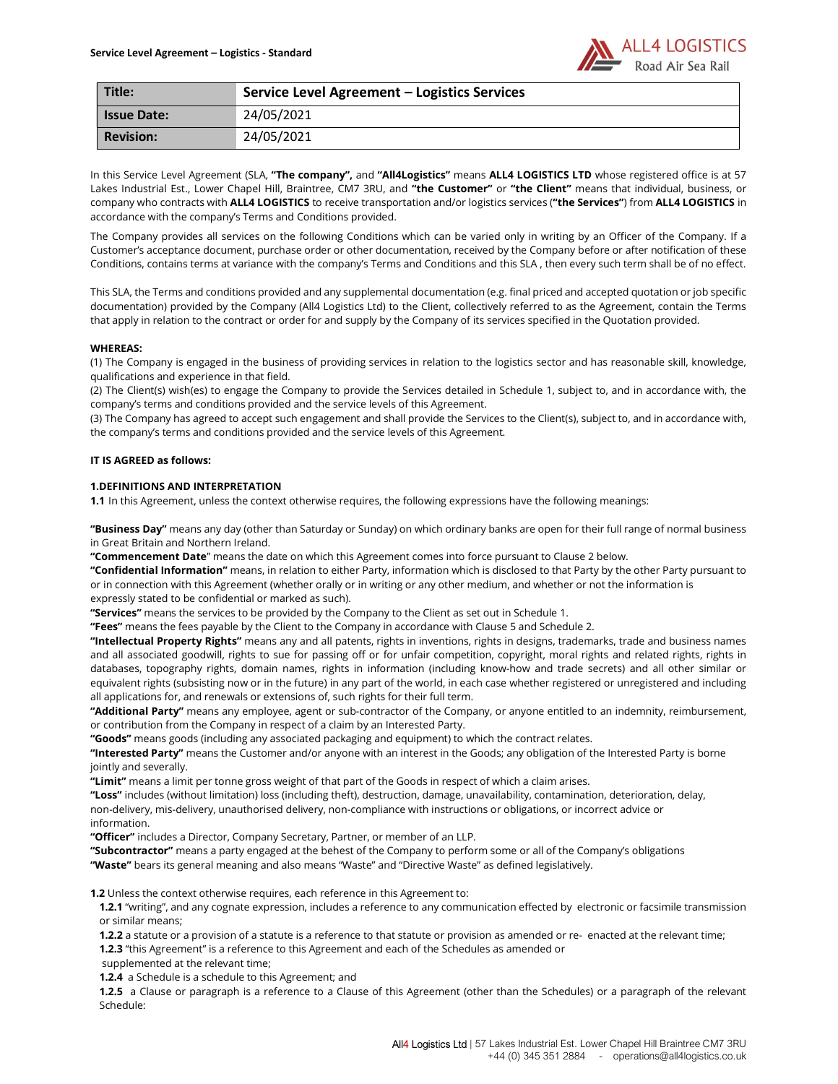

| Title:             | Service Level Agreement - Logistics Services |
|--------------------|----------------------------------------------|
| <b>Issue Date:</b> | 24/05/2021                                   |
| <b>Revision:</b>   | 24/05/2021                                   |

In this Service Level Agreement (SLA, "The company", and "All4Logistics" means ALL4 LOGISTICS LTD whose registered office is at 57 Lakes Industrial Est., Lower Chapel Hill, Braintree, CM7 3RU, and "the Customer" or "the Client" means that individual, business, or company who contracts with ALL4 LOGISTICS to receive transportation and/or logistics services ("the Services") from ALL4 LOGISTICS in accordance with the company's Terms and Conditions provided.

The Company provides all services on the following Conditions which can be varied only in writing by an Officer of the Company. If a Customer's acceptance document, purchase order or other documentation, received by the Company before or after notification of these Conditions, contains terms at variance with the company's Terms and Conditions and this SLA , then every such term shall be of no effect.

This SLA, the Terms and conditions provided and any supplemental documentation (e.g. final priced and accepted quotation or job specific documentation) provided by the Company (All4 Logistics Ltd) to the Client, collectively referred to as the Agreement, contain the Terms that apply in relation to the contract or order for and supply by the Company of its services specified in the Quotation provided.

### WHEREAS:

(1) The Company is engaged in the business of providing services in relation to the logistics sector and has reasonable skill, knowledge, qualifications and experience in that field.

(2) The Client(s) wish(es) to engage the Company to provide the Services detailed in Schedule 1, subject to, and in accordance with, the company's terms and conditions provided and the service levels of this Agreement.

(3) The Company has agreed to accept such engagement and shall provide the Services to the Client(s), subject to, and in accordance with, the company's terms and conditions provided and the service levels of this Agreement.

## IT IS AGREED as follows:

### 1.DEFINITIONS AND INTERPRETATION

1.1 In this Agreement, unless the context otherwise requires, the following expressions have the following meanings:

"Business Day" means any day (other than Saturday or Sunday) on which ordinary banks are open for their full range of normal business in Great Britain and Northern Ireland.

"Commencement Date" means the date on which this Agreement comes into force pursuant to Clause 2 below.

"Confidential Information" means, in relation to either Party, information which is disclosed to that Party by the other Party pursuant to or in connection with this Agreement (whether orally or in writing or any other medium, and whether or not the information is expressly stated to be confidential or marked as such).

"Services" means the services to be provided by the Company to the Client as set out in Schedule 1.

"Fees" means the fees payable by the Client to the Company in accordance with Clause 5 and Schedule 2.

"Intellectual Property Rights" means any and all patents, rights in inventions, rights in designs, trademarks, trade and business names and all associated goodwill, rights to sue for passing off or for unfair competition, copyright, moral rights and related rights, rights in databases, topography rights, domain names, rights in information (including know-how and trade secrets) and all other similar or equivalent rights (subsisting now or in the future) in any part of the world, in each case whether registered or unregistered and including all applications for, and renewals or extensions of, such rights for their full term.

"Additional Party" means any employee, agent or sub-contractor of the Company, or anyone entitled to an indemnity, reimbursement, or contribution from the Company in respect of a claim by an Interested Party.

"Goods" means goods (including any associated packaging and equipment) to which the contract relates.

"Interested Party" means the Customer and/or anyone with an interest in the Goods; any obligation of the Interested Party is borne jointly and severally.

"Limit" means a limit per tonne gross weight of that part of the Goods in respect of which a claim arises.

"Loss" includes (without limitation) loss (including theft), destruction, damage, unavailability, contamination, deterioration, delay, non-delivery, mis-delivery, unauthorised delivery, non-compliance with instructions or obligations, or incorrect advice or information.

"Officer" includes a Director, Company Secretary, Partner, or member of an LLP.

"Subcontractor" means a party engaged at the behest of the Company to perform some or all of the Company's obligations

"Waste" bears its general meaning and also means "Waste" and "Directive Waste" as defined legislatively.

1.2 Unless the context otherwise requires, each reference in this Agreement to:

1.2.1 "writing", and any cognate expression, includes a reference to any communication effected by electronic or facsimile transmission or similar means;

1.2.2 a statute or a provision of a statute is a reference to that statute or provision as amended or re- enacted at the relevant time;

1.2.3 "this Agreement" is a reference to this Agreement and each of the Schedules as amended or

supplemented at the relevant time;

1.2.4 a Schedule is a schedule to this Agreement; and

1.2.5 a Clause or paragraph is a reference to a Clause of this Agreement (other than the Schedules) or a paragraph of the relevant Schedule: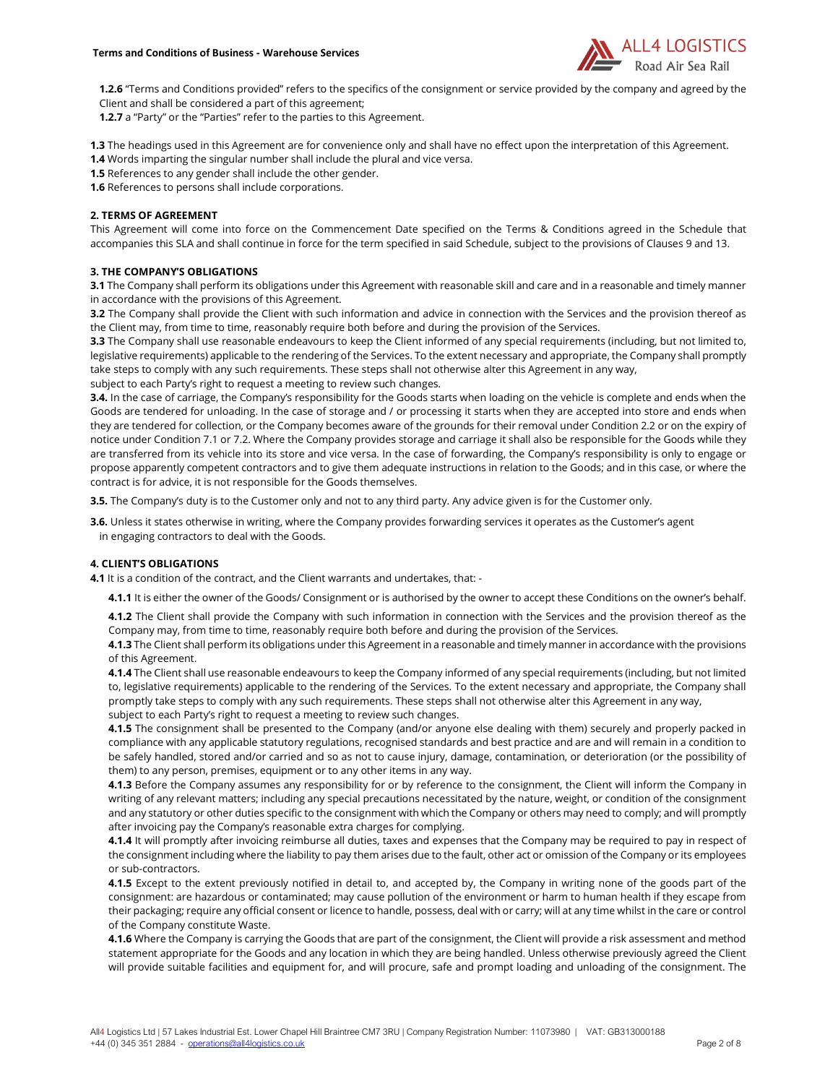

1.2.6 "Terms and Conditions provided" refers to the specifics of the consignment or service provided by the company and agreed by the Client and shall be considered a part of this agreement;

1.2.7 a "Party" or the "Parties" refer to the parties to this Agreement.

1.3 The headings used in this Agreement are for convenience only and shall have no effect upon the interpretation of this Agreement.

1.4 Words imparting the singular number shall include the plural and vice versa.

1.5 References to any gender shall include the other gender.

1.6 References to persons shall include corporations.

# 2. TERMS OF AGREEMENT

This Agreement will come into force on the Commencement Date specified on the Terms & Conditions agreed in the Schedule that accompanies this SLA and shall continue in force for the term specified in said Schedule, subject to the provisions of Clauses 9 and 13.

# 3. THE COMPANY'S OBLIGATIONS

3.1 The Company shall perform its obligations under this Agreement with reasonable skill and care and in a reasonable and timely manner in accordance with the provisions of this Agreement.

3.2 The Company shall provide the Client with such information and advice in connection with the Services and the provision thereof as the Client may, from time to time, reasonably require both before and during the provision of the Services.

3.3 The Company shall use reasonable endeavours to keep the Client informed of any special requirements (including, but not limited to, legislative requirements) applicable to the rendering of the Services. To the extent necessary and appropriate, the Company shall promptly take steps to comply with any such requirements. These steps shall not otherwise alter this Agreement in any way,

subject to each Party's right to request a meeting to review such changes.

3.4. In the case of carriage, the Company's responsibility for the Goods starts when loading on the vehicle is complete and ends when the Goods are tendered for unloading. In the case of storage and / or processing it starts when they are accepted into store and ends when they are tendered for collection, or the Company becomes aware of the grounds for their removal under Condition 2.2 or on the expiry of notice under Condition 7.1 or 7.2. Where the Company provides storage and carriage it shall also be responsible for the Goods while they are transferred from its vehicle into its store and vice versa. In the case of forwarding, the Company's responsibility is only to engage or propose apparently competent contractors and to give them adequate instructions in relation to the Goods; and in this case, or where the contract is for advice, it is not responsible for the Goods themselves.

3.5. The Company's duty is to the Customer only and not to any third party. Any advice given is for the Customer only.

3.6. Unless it states otherwise in writing, where the Company provides forwarding services it operates as the Customer's agent in engaging contractors to deal with the Goods.

# 4. CLIENT'S OBLIGATIONS

4.1 It is a condition of the contract, and the Client warrants and undertakes, that: -

4.1.1 It is either the owner of the Goods/ Consignment or is authorised by the owner to accept these Conditions on the owner's behalf.

4.1.2 The Client shall provide the Company with such information in connection with the Services and the provision thereof as the Company may, from time to time, reasonably require both before and during the provision of the Services.

4.1.3 The Client shall perform its obligations under this Agreement in a reasonable and timely manner in accordance with the provisions of this Agreement.

4.1.4 The Client shall use reasonable endeavours to keep the Company informed of any special requirements (including, but not limited to, legislative requirements) applicable to the rendering of the Services. To the extent necessary and appropriate, the Company shall promptly take steps to comply with any such requirements. These steps shall not otherwise alter this Agreement in any way, subject to each Party's right to request a meeting to review such changes.

4.1.5 The consignment shall be presented to the Company (and/or anyone else dealing with them) securely and properly packed in compliance with any applicable statutory regulations, recognised standards and best practice and are and will remain in a condition to be safely handled, stored and/or carried and so as not to cause injury, damage, contamination, or deterioration (or the possibility of them) to any person, premises, equipment or to any other items in any way.

4.1.3 Before the Company assumes any responsibility for or by reference to the consignment, the Client will inform the Company in writing of any relevant matters; including any special precautions necessitated by the nature, weight, or condition of the consignment and any statutory or other duties specific to the consignment with which the Company or others may need to comply; and will promptly after invoicing pay the Company's reasonable extra charges for complying.

4.1.4 It will promptly after invoicing reimburse all duties, taxes and expenses that the Company may be required to pay in respect of the consignment including where the liability to pay them arises due to the fault, other act or omission of the Company or its employees or sub-contractors.

4.1.5 Except to the extent previously notified in detail to, and accepted by, the Company in writing none of the goods part of the consignment: are hazardous or contaminated; may cause pollution of the environment or harm to human health if they escape from their packaging; require any official consent or licence to handle, possess, deal with or carry; will at any time whilst in the care or control of the Company constitute Waste.

4.1.6 Where the Company is carrying the Goods that are part of the consignment, the Client will provide a risk assessment and method statement appropriate for the Goods and any location in which they are being handled. Unless otherwise previously agreed the Client will provide suitable facilities and equipment for, and will procure, safe and prompt loading and unloading of the consignment. The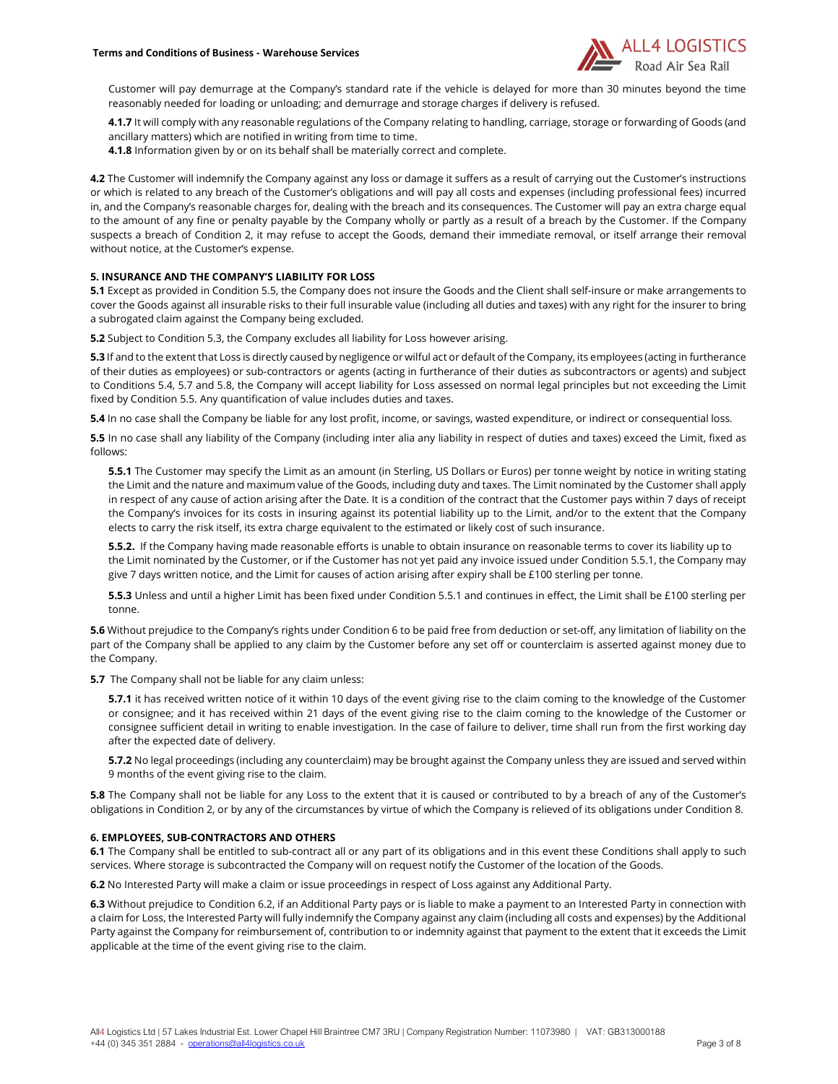

Customer will pay demurrage at the Company's standard rate if the vehicle is delayed for more than 30 minutes beyond the time reasonably needed for loading or unloading; and demurrage and storage charges if delivery is refused.

4.1.7 It will comply with any reasonable regulations of the Company relating to handling, carriage, storage or forwarding of Goods (and ancillary matters) which are notified in writing from time to time.

4.1.8 Information given by or on its behalf shall be materially correct and complete.

4.2 The Customer will indemnify the Company against any loss or damage it suffers as a result of carrying out the Customer's instructions or which is related to any breach of the Customer's obligations and will pay all costs and expenses (including professional fees) incurred in, and the Company's reasonable charges for, dealing with the breach and its consequences. The Customer will pay an extra charge equal to the amount of any fine or penalty payable by the Company wholly or partly as a result of a breach by the Customer. If the Company suspects a breach of Condition 2, it may refuse to accept the Goods, demand their immediate removal, or itself arrange their removal without notice, at the Customer's expense.

# 5. INSURANCE AND THE COMPANY'S LIABILITY FOR LOSS

5.1 Except as provided in Condition 5.5, the Company does not insure the Goods and the Client shall self-insure or make arrangements to cover the Goods against all insurable risks to their full insurable value (including all duties and taxes) with any right for the insurer to bring a subrogated claim against the Company being excluded.

5.2 Subject to Condition 5.3, the Company excludes all liability for Loss however arising.

5.3 If and to the extent that Loss is directly caused by negligence or wilful act or default of the Company, its employees (acting in furtherance of their duties as employees) or sub-contractors or agents (acting in furtherance of their duties as subcontractors or agents) and subject to Conditions 5.4, 5.7 and 5.8, the Company will accept liability for Loss assessed on normal legal principles but not exceeding the Limit fixed by Condition 5.5. Any quantification of value includes duties and taxes.

5.4 In no case shall the Company be liable for any lost profit, income, or savings, wasted expenditure, or indirect or consequential loss.

5.5 In no case shall any liability of the Company (including inter alia any liability in respect of duties and taxes) exceed the Limit, fixed as follows:

**5.5.1** The Customer may specify the Limit as an amount (in Sterling, US Dollars or Euros) per tonne weight by notice in writing stating the Limit and the nature and maximum value of the Goods, including duty and taxes. The Limit nominated by the Customer shall apply in respect of any cause of action arising after the Date. It is a condition of the contract that the Customer pays within 7 days of receipt the Company's invoices for its costs in insuring against its potential liability up to the Limit, and/or to the extent that the Company elects to carry the risk itself, its extra charge equivalent to the estimated or likely cost of such insurance.

**5.5.2.** If the Company having made reasonable efforts is unable to obtain insurance on reasonable terms to cover its liability up to the Limit nominated by the Customer, or if the Customer has not yet paid any invoice issued under Condition 5.5.1, the Company may give 7 days written notice, and the Limit for causes of action arising after expiry shall be £100 sterling per tonne.

5.5.3 Unless and until a higher Limit has been fixed under Condition 5.5.1 and continues in effect, the Limit shall be £100 sterling per tonne.

5.6 Without prejudice to the Company's rights under Condition 6 to be paid free from deduction or set-off, any limitation of liability on the part of the Company shall be applied to any claim by the Customer before any set off or counterclaim is asserted against money due to the Company.

5.7 The Company shall not be liable for any claim unless:

5.7.1 it has received written notice of it within 10 days of the event giving rise to the claim coming to the knowledge of the Customer or consignee; and it has received within 21 days of the event giving rise to the claim coming to the knowledge of the Customer or consignee sufficient detail in writing to enable investigation. In the case of failure to deliver, time shall run from the first working day after the expected date of delivery.

5.7.2 No legal proceedings (including any counterclaim) may be brought against the Company unless they are issued and served within 9 months of the event giving rise to the claim.

5.8 The Company shall not be liable for any Loss to the extent that it is caused or contributed to by a breach of any of the Customer's obligations in Condition 2, or by any of the circumstances by virtue of which the Company is relieved of its obligations under Condition 8.

### 6. EMPLOYEES, SUB-CONTRACTORS AND OTHERS

6.1 The Company shall be entitled to sub-contract all or any part of its obligations and in this event these Conditions shall apply to such services. Where storage is subcontracted the Company will on request notify the Customer of the location of the Goods.

6.2 No Interested Party will make a claim or issue proceedings in respect of Loss against any Additional Party.

6.3 Without prejudice to Condition 6.2, if an Additional Party pays or is liable to make a payment to an Interested Party in connection with a claim for Loss, the Interested Party will fully indemnify the Company against any claim (including all costs and expenses) by the Additional Party against the Company for reimbursement of, contribution to or indemnity against that payment to the extent that it exceeds the Limit applicable at the time of the event giving rise to the claim.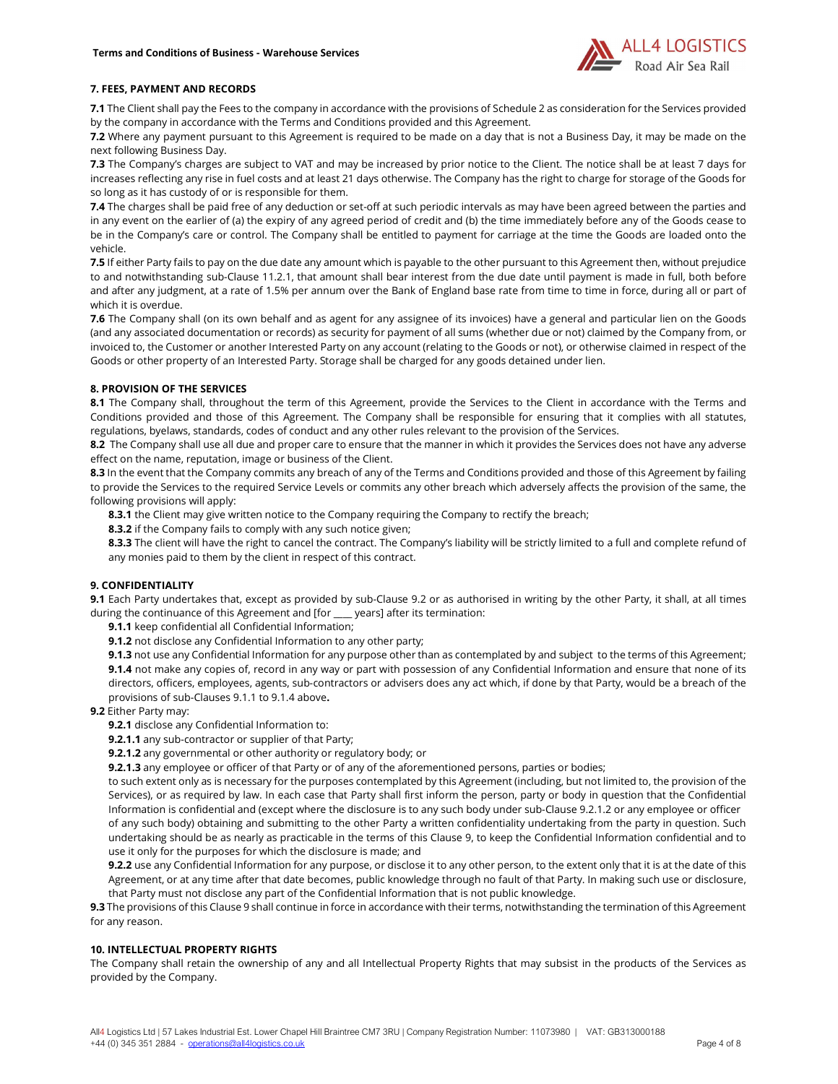

# 7. FEES, PAYMENT AND RECORDS

7.1 The Client shall pay the Fees to the company in accordance with the provisions of Schedule 2 as consideration for the Services provided by the company in accordance with the Terms and Conditions provided and this Agreement.

7.2 Where any payment pursuant to this Agreement is required to be made on a day that is not a Business Day, it may be made on the next following Business Day.

7.3 The Company's charges are subject to VAT and may be increased by prior notice to the Client. The notice shall be at least 7 days for increases reflecting any rise in fuel costs and at least 21 days otherwise. The Company has the right to charge for storage of the Goods for so long as it has custody of or is responsible for them.

7.4 The charges shall be paid free of any deduction or set-off at such periodic intervals as may have been agreed between the parties and in any event on the earlier of (a) the expiry of any agreed period of credit and (b) the time immediately before any of the Goods cease to be in the Company's care or control. The Company shall be entitled to payment for carriage at the time the Goods are loaded onto the vehicle.

7.5 If either Party fails to pay on the due date any amount which is payable to the other pursuant to this Agreement then, without prejudice to and notwithstanding sub-Clause 11.2.1, that amount shall bear interest from the due date until payment is made in full, both before and after any judgment, at a rate of 1.5% per annum over the Bank of England base rate from time to time in force, during all or part of which it is overdue.

7.6 The Company shall (on its own behalf and as agent for any assignee of its invoices) have a general and particular lien on the Goods (and any associated documentation or records) as security for payment of all sums (whether due or not) claimed by the Company from, or invoiced to, the Customer or another Interested Party on any account (relating to the Goods or not), or otherwise claimed in respect of the Goods or other property of an Interested Party. Storage shall be charged for any goods detained under lien.

# 8. PROVISION OF THE SERVICES

8.1 The Company shall, throughout the term of this Agreement, provide the Services to the Client in accordance with the Terms and Conditions provided and those of this Agreement. The Company shall be responsible for ensuring that it complies with all statutes, regulations, byelaws, standards, codes of conduct and any other rules relevant to the provision of the Services.

8.2 The Company shall use all due and proper care to ensure that the manner in which it provides the Services does not have any adverse effect on the name, reputation, image or business of the Client.

8.3 In the event that the Company commits any breach of any of the Terms and Conditions provided and those of this Agreement by failing to provide the Services to the required Service Levels or commits any other breach which adversely affects the provision of the same, the following provisions will apply:

8.3.1 the Client may give written notice to the Company requiring the Company to rectify the breach;

8.3.2 if the Company fails to comply with any such notice given;

8.3.3 The client will have the right to cancel the contract. The Company's liability will be strictly limited to a full and complete refund of any monies paid to them by the client in respect of this contract.

# 9. CONFIDENTIALITY

9.1 Each Party undertakes that, except as provided by sub-Clause 9.2 or as authorised in writing by the other Party, it shall, at all times during the continuance of this Agreement and [for \_\_\_\_ years] after its termination:

9.1.1 keep confidential all Confidential Information;

9.1.2 not disclose any Confidential Information to any other party;

9.1.3 not use any Confidential Information for any purpose other than as contemplated by and subject to the terms of this Agreement; 9.1.4 not make any copies of, record in any way or part with possession of any Confidential Information and ensure that none of its directors, officers, employees, agents, sub-contractors or advisers does any act which, if done by that Party, would be a breach of the provisions of sub-Clauses 9.1.1 to 9.1.4 above.

### 9.2 Either Party may:

9.2.1 disclose any Confidential Information to:

9.2.1.1 any sub-contractor or supplier of that Party;

9.2.1.2 any governmental or other authority or regulatory body; or

9.2.1.3 any employee or officer of that Party or of any of the aforementioned persons, parties or bodies;

to such extent only as is necessary for the purposes contemplated by this Agreement (including, but not limited to, the provision of the Services), or as required by law. In each case that Party shall first inform the person, party or body in question that the Confidential Information is confidential and (except where the disclosure is to any such body under sub-Clause 9.2.1.2 or any employee or officer of any such body) obtaining and submitting to the other Party a written confidentiality undertaking from the party in question. Such undertaking should be as nearly as practicable in the terms of this Clause 9, to keep the Confidential Information confidential and to use it only for the purposes for which the disclosure is made; and

9.2.2 use any Confidential Information for any purpose, or disclose it to any other person, to the extent only that it is at the date of this Agreement, or at any time after that date becomes, public knowledge through no fault of that Party. In making such use or disclosure, that Party must not disclose any part of the Confidential Information that is not public knowledge.

9.3 The provisions of this Clause 9 shall continue in force in accordance with their terms, notwithstanding the termination of this Agreement for any reason.

# 10. INTELLECTUAL PROPERTY RIGHTS

The Company shall retain the ownership of any and all Intellectual Property Rights that may subsist in the products of the Services as provided by the Company.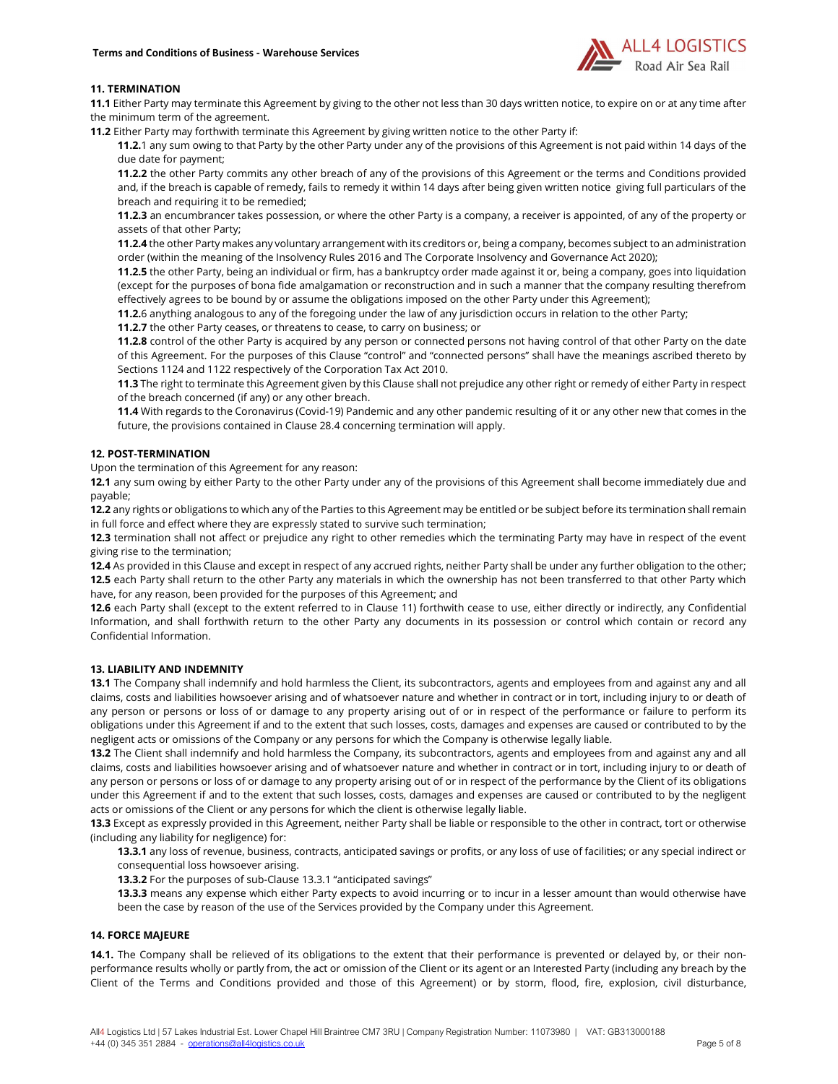

# 11. TERMINATION

11.1 Either Party may terminate this Agreement by giving to the other not less than 30 days written notice, to expire on or at any time after the minimum term of the agreement.

11.2 Either Party may forthwith terminate this Agreement by giving written notice to the other Party if:

11.2.1 any sum owing to that Party by the other Party under any of the provisions of this Agreement is not paid within 14 days of the due date for payment;

11.2.2 the other Party commits any other breach of any of the provisions of this Agreement or the terms and Conditions provided and, if the breach is capable of remedy, fails to remedy it within 14 days after being given written notice giving full particulars of the breach and requiring it to be remedied;

11.2.3 an encumbrancer takes possession, or where the other Party is a company, a receiver is appointed, of any of the property or assets of that other Party;

11.2.4 the other Party makes any voluntary arrangement with its creditors or, being a company, becomes subject to an administration order (within the meaning of the Insolvency Rules 2016 and The Corporate Insolvency and Governance Act 2020);

11.2.5 the other Party, being an individual or firm, has a bankruptcy order made against it or, being a company, goes into liquidation (except for the purposes of bona fide amalgamation or reconstruction and in such a manner that the company resulting therefrom effectively agrees to be bound by or assume the obligations imposed on the other Party under this Agreement);

11.2.6 anything analogous to any of the foregoing under the law of any jurisdiction occurs in relation to the other Party;

11.2.7 the other Party ceases, or threatens to cease, to carry on business; or

11.2.8 control of the other Party is acquired by any person or connected persons not having control of that other Party on the date of this Agreement. For the purposes of this Clause "control" and "connected persons" shall have the meanings ascribed thereto by Sections 1124 and 1122 respectively of the Corporation Tax Act 2010.

11.3 The right to terminate this Agreement given by this Clause shall not prejudice any other right or remedy of either Party in respect of the breach concerned (if any) or any other breach.

11.4 With regards to the Coronavirus (Covid-19) Pandemic and any other pandemic resulting of it or any other new that comes in the future, the provisions contained in Clause 28.4 concerning termination will apply.

# 12. POST-TERMINATION

Upon the termination of this Agreement for any reason:

12.1 any sum owing by either Party to the other Party under any of the provisions of this Agreement shall become immediately due and payable;

12.2 any rights or obligations to which any of the Parties to this Agreement may be entitled or be subject before its termination shall remain in full force and effect where they are expressly stated to survive such termination;

12.3 termination shall not affect or prejudice any right to other remedies which the terminating Party may have in respect of the event giving rise to the termination;

12.4 As provided in this Clause and except in respect of any accrued rights, neither Party shall be under any further obligation to the other; 12.5 each Party shall return to the other Party any materials in which the ownership has not been transferred to that other Party which have, for any reason, been provided for the purposes of this Agreement; and

12.6 each Party shall (except to the extent referred to in Clause 11) forthwith cease to use, either directly or indirectly, any Confidential Information, and shall forthwith return to the other Party any documents in its possession or control which contain or record any Confidential Information.

# 13. LIABILITY AND INDEMNITY

13.1 The Company shall indemnify and hold harmless the Client, its subcontractors, agents and employees from and against any and all claims, costs and liabilities howsoever arising and of whatsoever nature and whether in contract or in tort, including injury to or death of any person or persons or loss of or damage to any property arising out of or in respect of the performance or failure to perform its obligations under this Agreement if and to the extent that such losses, costs, damages and expenses are caused or contributed to by the negligent acts or omissions of the Company or any persons for which the Company is otherwise legally liable.

13.2 The Client shall indemnify and hold harmless the Company, its subcontractors, agents and employees from and against any and all claims, costs and liabilities howsoever arising and of whatsoever nature and whether in contract or in tort, including injury to or death of any person or persons or loss of or damage to any property arising out of or in respect of the performance by the Client of its obligations under this Agreement if and to the extent that such losses, costs, damages and expenses are caused or contributed to by the negligent acts or omissions of the Client or any persons for which the client is otherwise legally liable.

13.3 Except as expressly provided in this Agreement, neither Party shall be liable or responsible to the other in contract, tort or otherwise (including any liability for negligence) for:

13.3.1 any loss of revenue, business, contracts, anticipated savings or profits, or any loss of use of facilities; or any special indirect or consequential loss howsoever arising.

13.3.2 For the purposes of sub-Clause 13.3.1 "anticipated savings"

13.3.3 means any expense which either Party expects to avoid incurring or to incur in a lesser amount than would otherwise have been the case by reason of the use of the Services provided by the Company under this Agreement.

### 14. FORCE MAJEURE

14.1. The Company shall be relieved of its obligations to the extent that their performance is prevented or delayed by, or their nonperformance results wholly or partly from, the act or omission of the Client or its agent or an Interested Party (including any breach by the Client of the Terms and Conditions provided and those of this Agreement) or by storm, flood, fire, explosion, civil disturbance,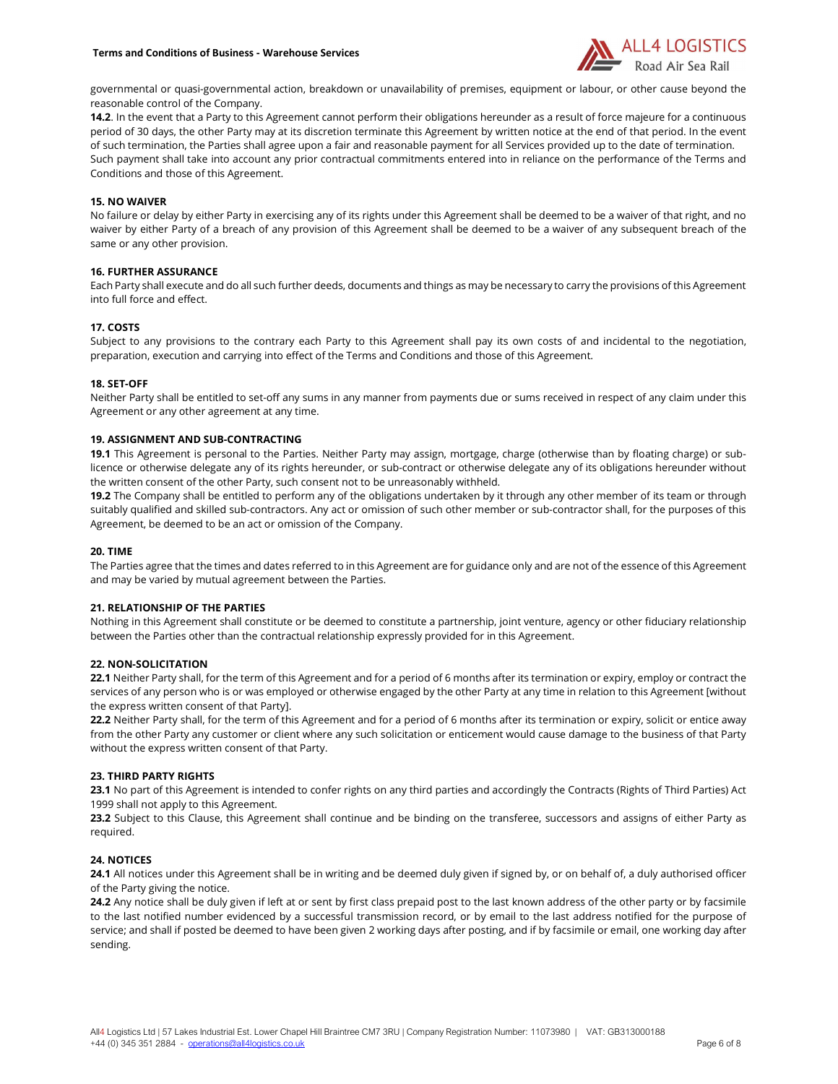

governmental or quasi-governmental action, breakdown or unavailability of premises, equipment or labour, or other cause beyond the reasonable control of the Company.

14.2. In the event that a Party to this Agreement cannot perform their obligations hereunder as a result of force majeure for a continuous period of 30 days, the other Party may at its discretion terminate this Agreement by written notice at the end of that period. In the event of such termination, the Parties shall agree upon a fair and reasonable payment for all Services provided up to the date of termination. Such payment shall take into account any prior contractual commitments entered into in reliance on the performance of the Terms and Conditions and those of this Agreement.

## 15. NO WAIVER

No failure or delay by either Party in exercising any of its rights under this Agreement shall be deemed to be a waiver of that right, and no waiver by either Party of a breach of any provision of this Agreement shall be deemed to be a waiver of any subsequent breach of the same or any other provision.

# 16. FURTHER ASSURANCE

Each Party shall execute and do all such further deeds, documents and things as may be necessary to carry the provisions of this Agreement into full force and effect.

### 17. COSTS

Subject to any provisions to the contrary each Party to this Agreement shall pay its own costs of and incidental to the negotiation, preparation, execution and carrying into effect of the Terms and Conditions and those of this Agreement.

### 18. SET-OFF

Neither Party shall be entitled to set-off any sums in any manner from payments due or sums received in respect of any claim under this Agreement or any other agreement at any time.

### 19. ASSIGNMENT AND SUB-CONTRACTING

19.1 This Agreement is personal to the Parties. Neither Party may assign, mortgage, charge (otherwise than by floating charge) or sublicence or otherwise delegate any of its rights hereunder, or sub-contract or otherwise delegate any of its obligations hereunder without the written consent of the other Party, such consent not to be unreasonably withheld.

19.2 The Company shall be entitled to perform any of the obligations undertaken by it through any other member of its team or through suitably qualified and skilled sub-contractors. Any act or omission of such other member or sub-contractor shall, for the purposes of this Agreement, be deemed to be an act or omission of the Company.

### 20. TIME

The Parties agree that the times and dates referred to in this Agreement are for guidance only and are not of the essence of this Agreement and may be varied by mutual agreement between the Parties.

## 21. RELATIONSHIP OF THE PARTIES

Nothing in this Agreement shall constitute or be deemed to constitute a partnership, joint venture, agency or other fiduciary relationship between the Parties other than the contractual relationship expressly provided for in this Agreement.

### 22. NON-SOLICITATION

22.1 Neither Party shall, for the term of this Agreement and for a period of 6 months after its termination or expiry, employ or contract the services of any person who is or was employed or otherwise engaged by the other Party at any time in relation to this Agreement [without the express written consent of that Party].

22.2 Neither Party shall, for the term of this Agreement and for a period of 6 months after its termination or expiry, solicit or entice away from the other Party any customer or client where any such solicitation or enticement would cause damage to the business of that Party without the express written consent of that Party.

# 23. THIRD PARTY RIGHTS

23.1 No part of this Agreement is intended to confer rights on any third parties and accordingly the Contracts (Rights of Third Parties) Act 1999 shall not apply to this Agreement.

23.2 Subject to this Clause, this Agreement shall continue and be binding on the transferee, successors and assigns of either Party as required.

### 24. NOTICES

24.1 All notices under this Agreement shall be in writing and be deemed duly given if signed by, or on behalf of, a duly authorised officer of the Party giving the notice.

24.2 Any notice shall be duly given if left at or sent by first class prepaid post to the last known address of the other party or by facsimile to the last notified number evidenced by a successful transmission record, or by email to the last address notified for the purpose of service; and shall if posted be deemed to have been given 2 working days after posting, and if by facsimile or email, one working day after sending.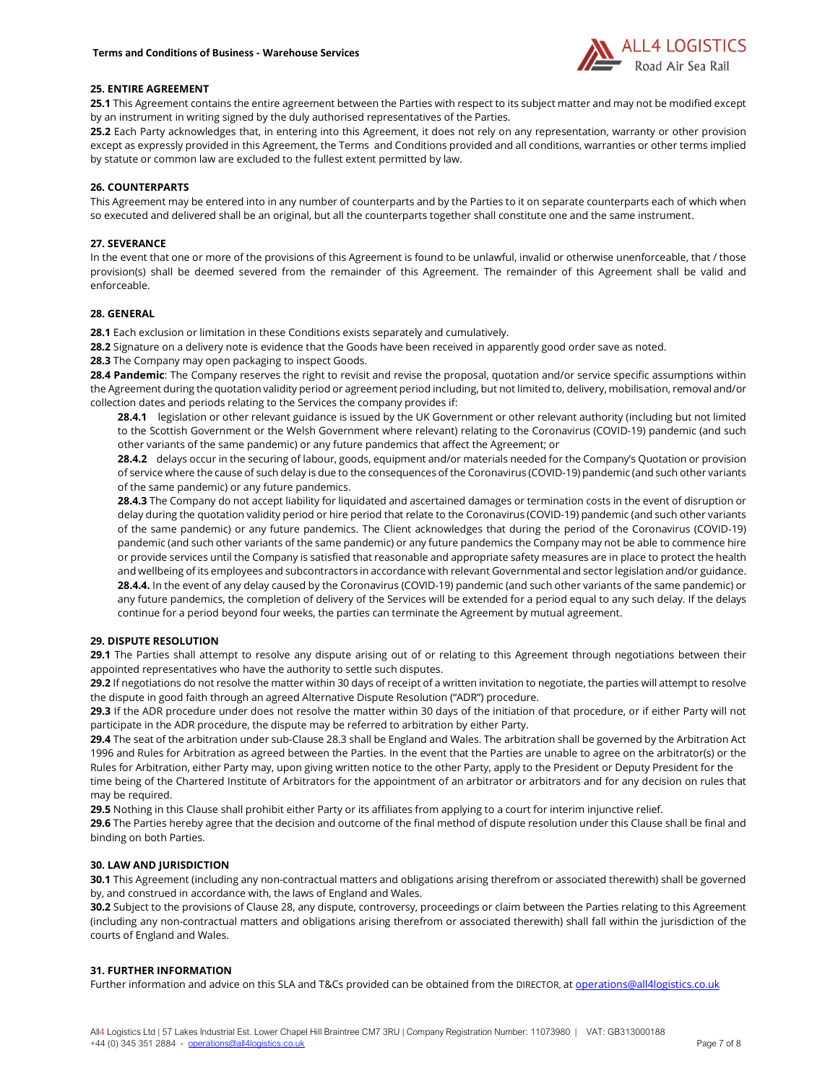

# 25. ENTIRE AGREEMENT

25.1 This Agreement contains the entire agreement between the Parties with respect to its subject matter and may not be modified except by an instrument in writing signed by the duly authorised representatives of the Parties.

25.2 Each Party acknowledges that, in entering into this Agreement, it does not rely on any representation, warranty or other provision except as expressly provided in this Agreement, the Terms and Conditions provided and all conditions, warranties or other terms implied by statute or common law are excluded to the fullest extent permitted by law.

# 26. COUNTERPARTS

This Agreement may be entered into in any number of counterparts and by the Parties to it on separate counterparts each of which when so executed and delivered shall be an original, but all the counterparts together shall constitute one and the same instrument.

# 27. SEVERANCE

In the event that one or more of the provisions of this Agreement is found to be unlawful, invalid or otherwise unenforceable, that / those provision(s) shall be deemed severed from the remainder of this Agreement. The remainder of this Agreement shall be valid and enforceable.

# 28. GENERAL

28.1 Each exclusion or limitation in these Conditions exists separately and cumulatively.

28.2 Signature on a delivery note is evidence that the Goods have been received in apparently good order save as noted.

28.3 The Company may open packaging to inspect Goods.

28.4 Pandemic: The Company reserves the right to revisit and revise the proposal, quotation and/or service specific assumptions within the Agreement during the quotation validity period or agreement period including, but not limited to, delivery, mobilisation, removal and/or collection dates and periods relating to the Services the company provides if:

28.4.1 legislation or other relevant guidance is issued by the UK Government or other relevant authority (including but not limited to the Scottish Government or the Welsh Government where relevant) relating to the Coronavirus (COVID-19) pandemic (and such other variants of the same pandemic) or any future pandemics that affect the Agreement; or

28.4.2 delays occur in the securing of labour, goods, equipment and/or materials needed for the Company's Quotation or provision of service where the cause of such delay is due to the consequences of the Coronavirus (COVID-19) pandemic (and such other variants of the same pandemic) or any future pandemics.

28.4.3 The Company do not accept liability for liquidated and ascertained damages or termination costs in the event of disruption or delay during the quotation validity period or hire period that relate to the Coronavirus (COVID-19) pandemic (and such other variants of the same pandemic) or any future pandemics. The Client acknowledges that during the period of the Coronavirus (COVID-19) pandemic (and such other variants of the same pandemic) or any future pandemics the Company may not be able to commence hire or provide services until the Company is satisfied that reasonable and appropriate safety measures are in place to protect the health and wellbeing of its employees and subcontractors in accordance with relevant Governmental and sector legislation and/or guidance. 28.4.4. In the event of any delay caused by the Coronavirus (COVID-19) pandemic (and such other variants of the same pandemic) or any future pandemics, the completion of delivery of the Services will be extended for a period equal to any such delay. If the delays continue for a period beyond four weeks, the parties can terminate the Agreement by mutual agreement.

# 29. DISPUTE RESOLUTION

29.1 The Parties shall attempt to resolve any dispute arising out of or relating to this Agreement through negotiations between their appointed representatives who have the authority to settle such disputes.

29.2 If negotiations do not resolve the matter within 30 days of receipt of a written invitation to negotiate, the parties will attempt to resolve the dispute in good faith through an agreed Alternative Dispute Resolution ("ADR") procedure.

29.3 If the ADR procedure under does not resolve the matter within 30 days of the initiation of that procedure, or if either Party will not participate in the ADR procedure, the dispute may be referred to arbitration by either Party.

29.4 The seat of the arbitration under sub-Clause 28.3 shall be England and Wales. The arbitration shall be governed by the Arbitration Act 1996 and Rules for Arbitration as agreed between the Parties. In the event that the Parties are unable to agree on the arbitrator(s) or the Rules for Arbitration, either Party may, upon giving written notice to the other Party, apply to the President or Deputy President for the time being of the Chartered Institute of Arbitrators for the appointment of an arbitrator or arbitrators and for any decision on rules that

may be required. 29.5 Nothing in this Clause shall prohibit either Party or its affiliates from applying to a court for interim injunctive relief.

29.6 The Parties hereby agree that the decision and outcome of the final method of dispute resolution under this Clause shall be final and binding on both Parties.

# 30. LAW AND JURISDICTION

30.1 This Agreement (including any non-contractual matters and obligations arising therefrom or associated therewith) shall be governed by, and construed in accordance with, the laws of England and Wales.

30.2 Subject to the provisions of Clause 28, any dispute, controversy, proceedings or claim between the Parties relating to this Agreement (including any non-contractual matters and obligations arising therefrom or associated therewith) shall fall within the jurisdiction of the courts of England and Wales.

# 31. FURTHER INFORMATION

Further information and advice on this SLA and T&Cs provided can be obtained from the DIRECTOR, at operations@all4logistics.co.uk